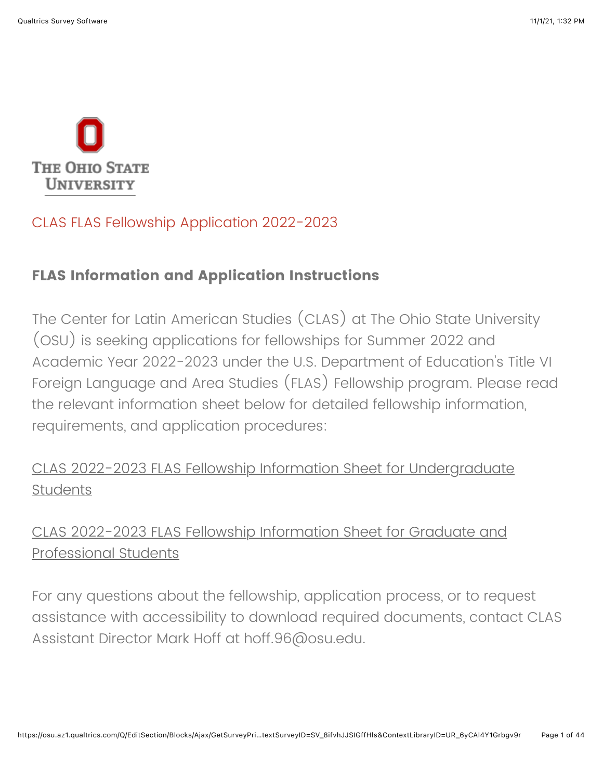

## CLAS FLAS Fellowship Application 2022-2023

## **FLAS Information and Application Instructions**

The Center for Latin American Studies (CLAS) at The Ohio State University (OSU) is seeking applications for fellowships for Summer 2022 and Academic Year 2022-2023 under the U.S. Department of Education's Title VI Foreign Language and Area Studies (FLAS) Fellowship program. Please read the relevant information sheet below for detailed fellowship information, requirements, and application procedures:

[CLAS 2022-2023 FLAS Fellowship Information Sheet for Undergraduate](https://clas.osu.edu/sites/default/files/2021-11/2022-2023%20CLAS%20UG%20FLAS%20Info%20Sheet.pdf) **Students** 

## [CLAS 2022-2023 FLAS Fellowship Information Sheet for Graduate and](https://clas.osu.edu/sites/default/files/2021-11/2022-2023%20CLAS%20GP%20FLAS%20Info%20Sheet.pdf) Professional Students

For any questions about the fellowship, application process, or to request assistance with accessibility to download required documents, contact CLAS Assistant Director Mark Hoff at hoff.96@osu.edu.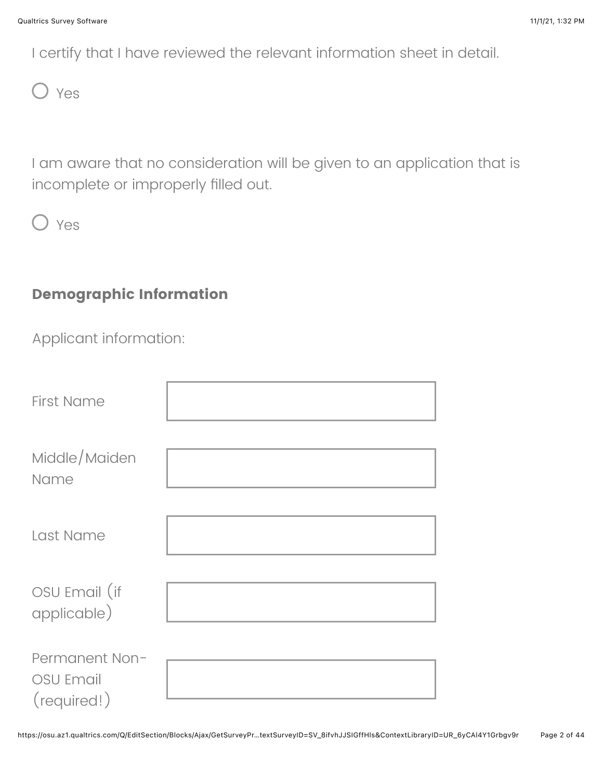I certify that I have reviewed the relevant information sheet in detail.



I am aware that no consideration will be given to an application that is incomplete or improperly filled out.

O Yes

## **Demographic Information**

Applicant information:

| <b>First Name</b>                                 |  |
|---------------------------------------------------|--|
| Middle/Maiden<br>Name                             |  |
| Last Name                                         |  |
| OSU Email (if<br>applicable)                      |  |
| Permanent Non-<br><b>OSU Email</b><br>(required!) |  |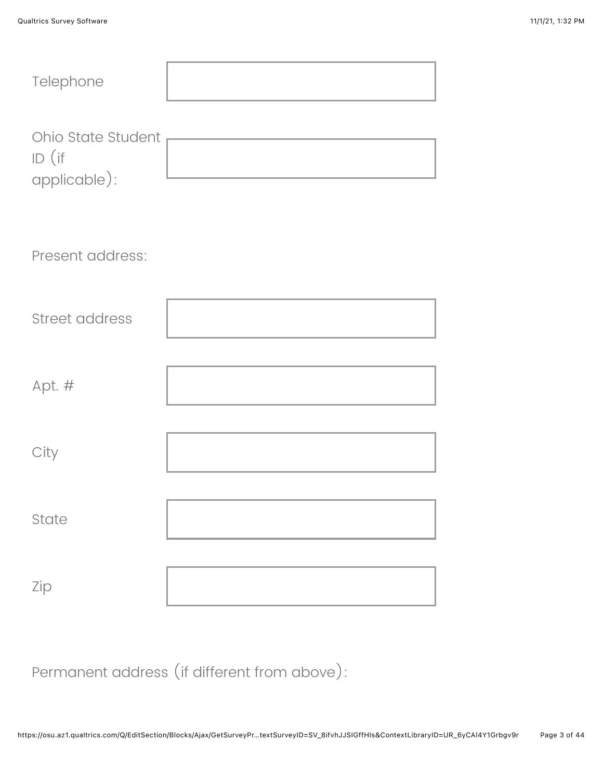| Telephone                                      |  |
|------------------------------------------------|--|
| Ohio State Student<br>$ID$ (if<br>applicable): |  |
| Present address:                               |  |
| <b>Street address</b>                          |  |
| Apt. #                                         |  |
| City                                           |  |
| State                                          |  |
| Zip                                            |  |

Permanent address (if different from above):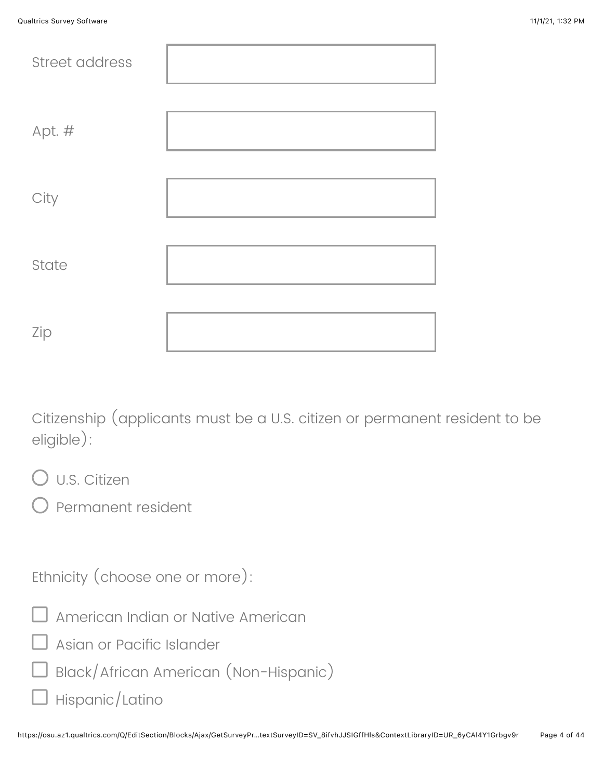| Street address |  |
|----------------|--|
| Apt. #         |  |
| City           |  |
| State          |  |
| Zip            |  |

Citizenship (applicants must be a U.S. citizen or permanent resident to be eligible):

- U.S. Citizen
- Permanent resident

Ethnicity (choose one or more):



- Asian or Pacific Islander
- $\square$  Black/African American (Non-Hispanic)
- $\Box$  Hispanic/Latino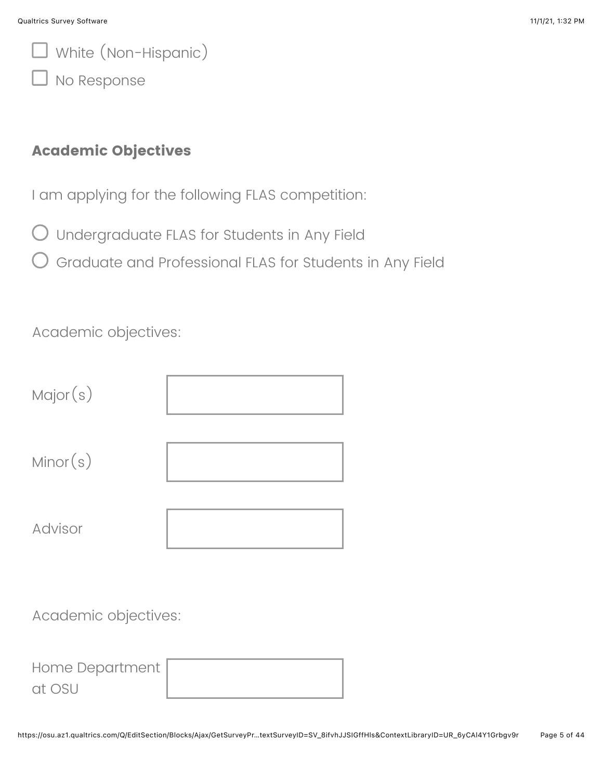White (Non-Hispanic)

I No Response

#### **Academic Objectives**

I am applying for the following FLAS competition:

- $\bigcirc$  Undergraduate FLAS for Students in Any Field
- Graduate and Professional FLAS for Students in Any Field

Academic objectives:

| Major(s) |  |
|----------|--|
| Minor(s) |  |
| Advisor  |  |

Academic objectives:

| Home Department, |  |
|------------------|--|
| at OSU           |  |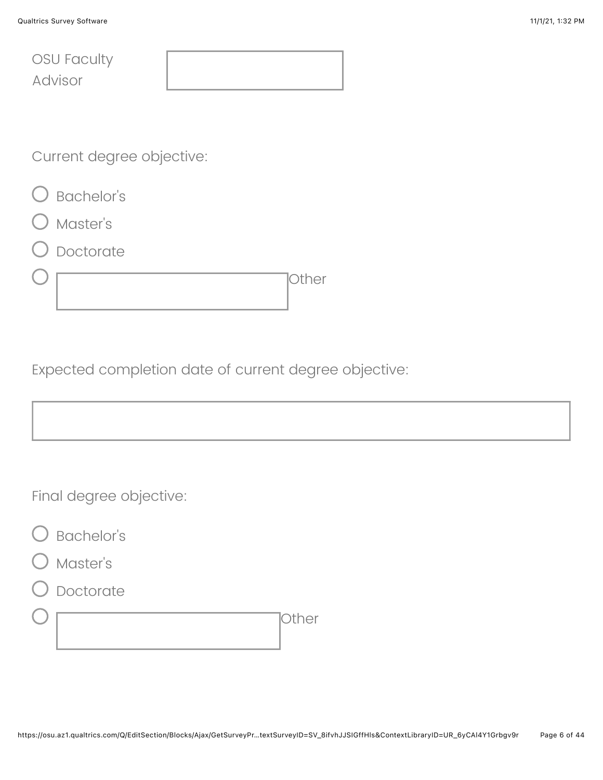|         | <b>OSU Faculty</b> |
|---------|--------------------|
| Advisor |                    |

Current degree objective:

- O Bachelor's
- Master's
- Doctorate

|  | $\overline{\phantom{a}}$ |
|--|--------------------------|
|  |                          |

Expected completion date of current degree objective:

Final degree objective:



- Master's
- Doctorate

Other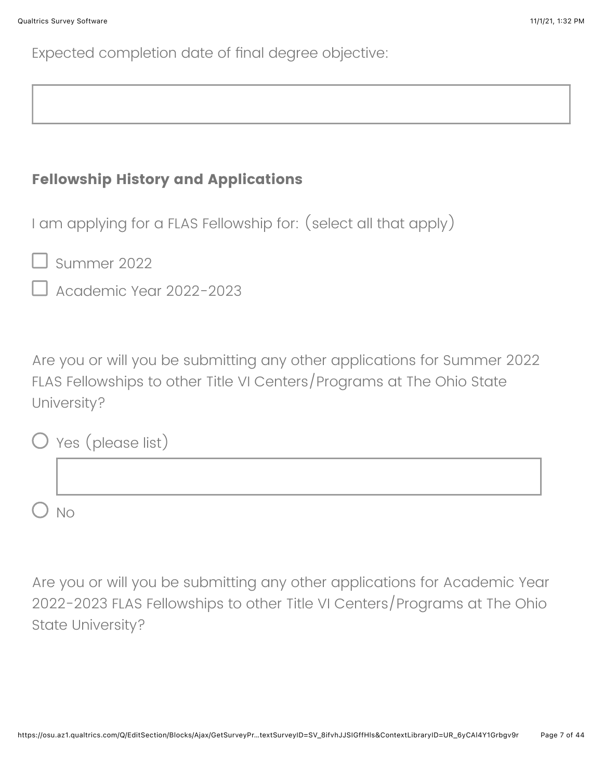Expected completion date of final degree objective:

## **Fellowship History and Applications**

I am applying for a FLAS Fellowship for: (select all that apply)

 $\Box$  Summer 2022

Academic Year 2022-2023

Are you or will you be submitting any other applications for Summer 2022 FLAS Fellowships to other Title VI Centers/Programs at The Ohio State University?

| $O$ Yes (please list) |
|-----------------------|
|                       |
| <b>No</b>             |

Are you or will you be submitting any other applications for Academic Year 2022-2023 FLAS Fellowships to other Title VI Centers/Programs at The Ohio State University?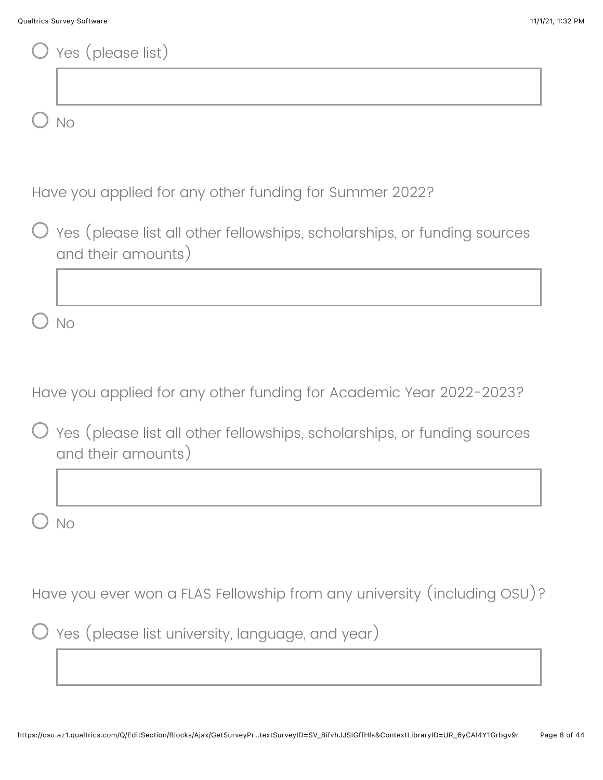| Yes (please list)                                                                              |
|------------------------------------------------------------------------------------------------|
|                                                                                                |
| <b>No</b>                                                                                      |
|                                                                                                |
| Have you applied for any other funding for Summer 2022?                                        |
| Yes (please list all other fellowships, scholarships, or funding sources<br>and their amounts) |
|                                                                                                |
| <b>No</b>                                                                                      |
|                                                                                                |
| Have you applied for any other funding for Academic Year 2022-2023?                            |
| Yes (please list all other fellowships, scholarships, or funding sources<br>and their amounts) |
|                                                                                                |
| <b>No</b>                                                                                      |
|                                                                                                |
| Have you ever won a FLAS Fellowship from any university (including OSU)?                       |
| Yes (please list university, language, and year)                                               |
|                                                                                                |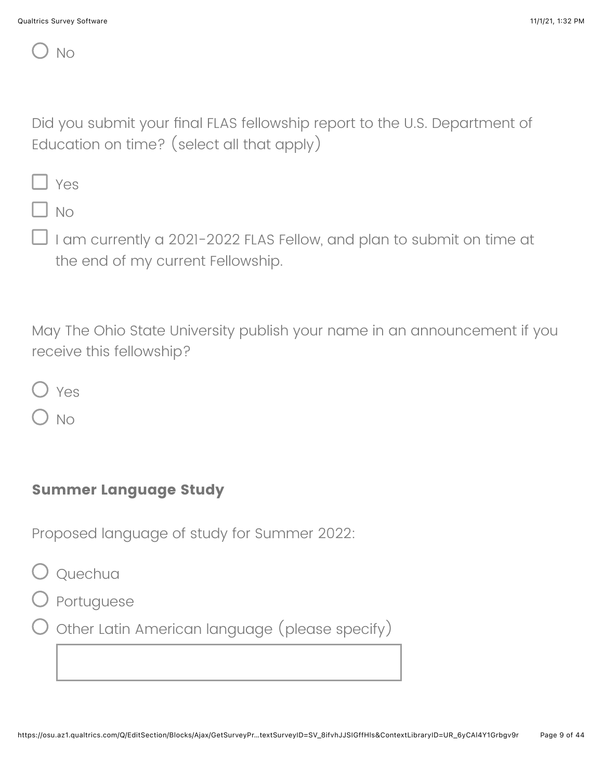No

Did you submit your final FLAS fellowship report to the U.S. Department of Education on time? (select all that apply)

Yes

No

I am currently a 2021-2022 FLAS Fellow, and plan to submit on time at the end of my current Fellowship.

May The Ohio State University publish your name in an announcement if you receive this fellowship?

Yes

No

### **Summer Language Study**

Proposed language of study for Summer 2022:

 $\bigcirc$  Quechua

Portuguese

 $\bigcirc$  Other Latin American language (please specify)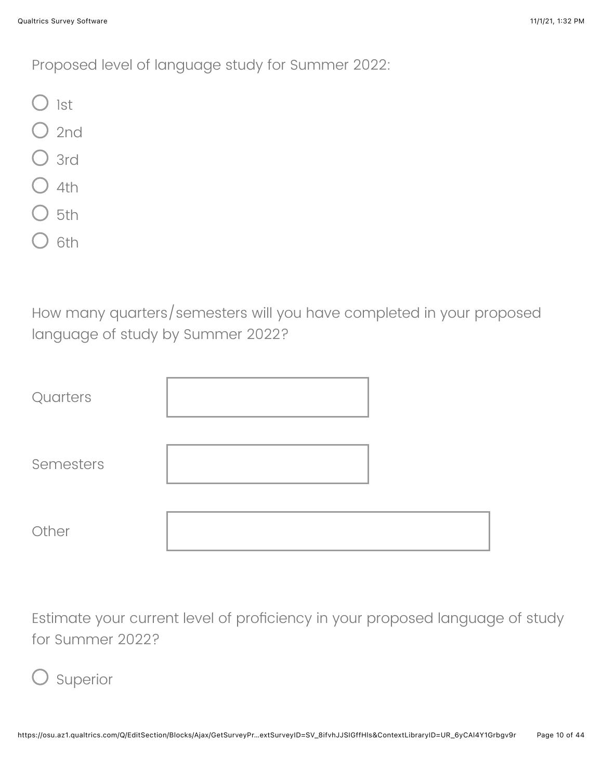Proposed level of language study for Summer 2022:

- $\bigcirc$  1st
- $\bigcup$  2nd
- 3rd
- $\big)$  4th
- $5th$
- 6th

How many quarters/semesters will you have completed in your proposed language of study by Summer 2022?

| Quarters  |  |
|-----------|--|
| Semesters |  |
| Other     |  |

Estimate your current level of proficiency in your proposed language of study for Summer 2022?

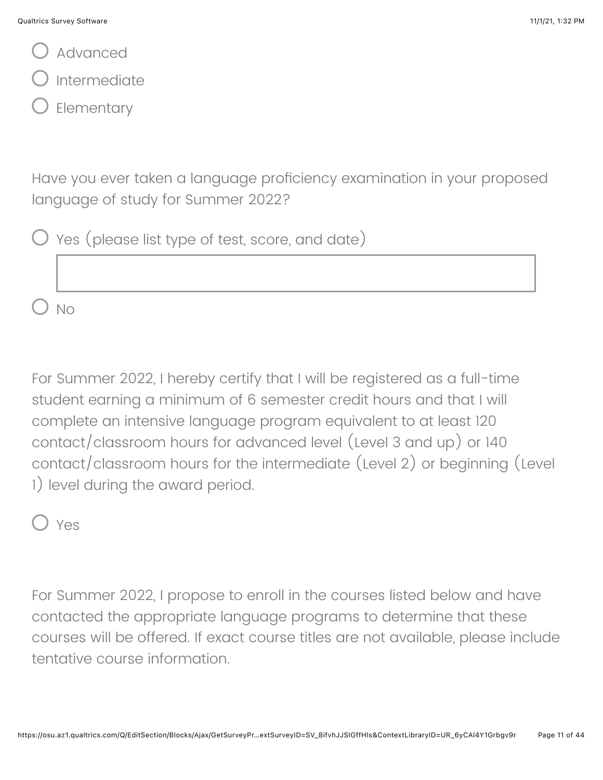Advanced

Intermediate

Elementary

Have you ever taken a language proficiency examination in your proposed language of study for Summer 2022?

| O Yes (please list type of test, score, and date) |  |  |  |  |  |  |  |  |
|---------------------------------------------------|--|--|--|--|--|--|--|--|
|---------------------------------------------------|--|--|--|--|--|--|--|--|

For Summer 2022, I hereby certify that I will be registered as a full-time student earning a minimum of 6 semester credit hours and that I will complete an intensive language program equivalent to at least 120 contact/classroom hours for advanced level (Level 3 and up) or 140 contact/classroom hours for the intermediate (Level 2) or beginning (Level 1) level during the award period.

Yes

 $N<sub>O</sub>$ 

For Summer 2022, I propose to enroll in the courses listed below and have contacted the appropriate language programs to determine that these courses will be offered. If exact course titles are not available, please include tentative course information.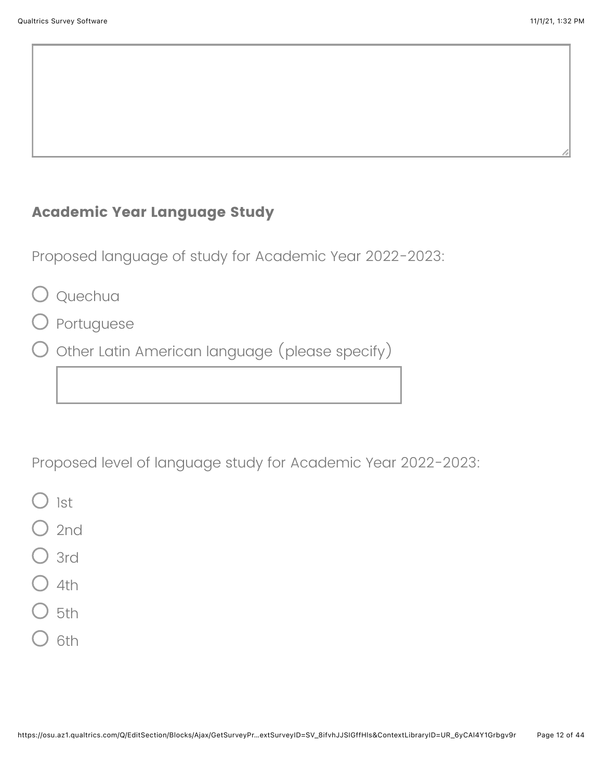## **Academic Year Language Study**

Proposed language of study for Academic Year 2022-2023:

- Quechua
- O Portuguese
- $\bigcirc$  Other Latin American language (please specify)

Proposed level of language study for Academic Year 2022-2023:

- ) ist
- $2$ nd
- $\sum$  3rd
- $4th$
- $5th$
- 6th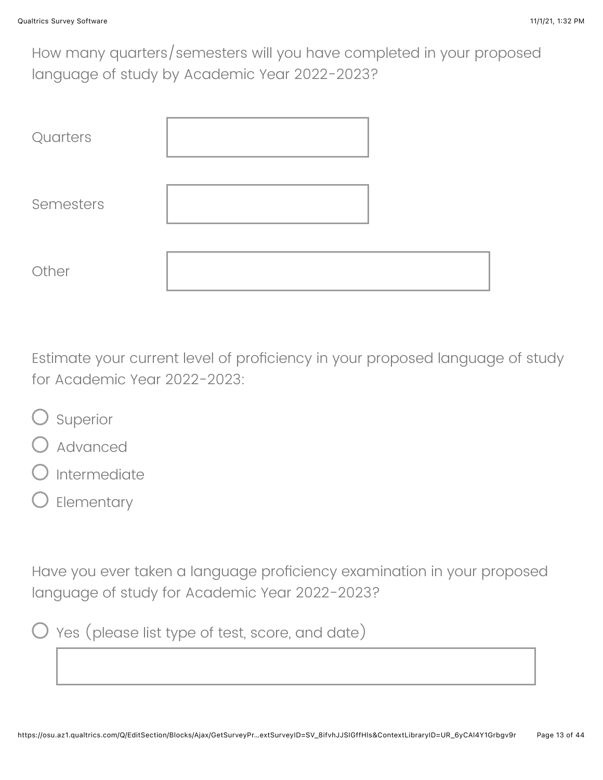How many quarters/semesters will you have completed in your proposed language of study by Academic Year 2022-2023?

| Quarters  |  |
|-----------|--|
| Semesters |  |
| Other     |  |

Estimate your current level of proficiency in your proposed language of study for Academic Year 2022-2023:

- O Superior
- Advanced
- Intermediate
- Elementary

Have you ever taken a language proficiency examination in your proposed language of study for Academic Year 2022-2023?



 $\bigcirc$  Yes (please list type of test, score, and date)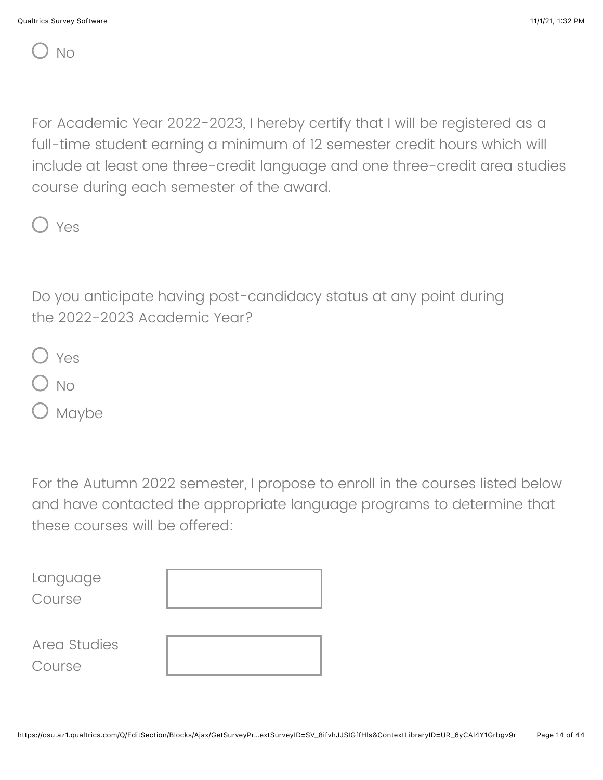No

For Academic Year 2022-2023, I hereby certify that I will be registered as a full-time student earning a minimum of 12 semester credit hours which will include at least one three-credit language and one three-credit area studies course during each semester of the award.

Yes

Do you anticipate having post-candidacy status at any point during the 2022-2023 Academic Year?

- Yes
- $\sum$  No
- ) Maybe

For the Autumn 2022 semester, I propose to enroll in the courses listed below and have contacted the appropriate language programs to determine that these courses will be offered:

Language Course

Area Studies Course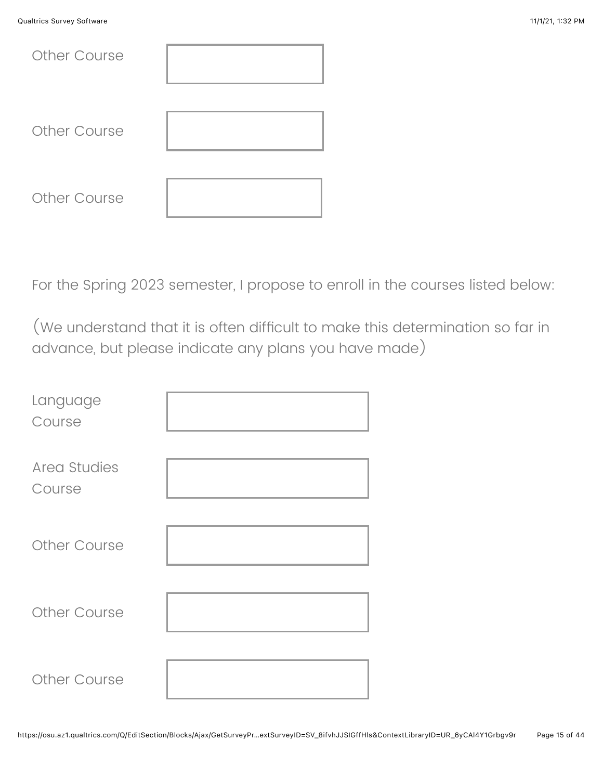| <b>Other Course</b> |  |
|---------------------|--|
| <b>Other Course</b> |  |
| Other Course        |  |

For the Spring 2023 semester, I propose to enroll in the courses listed below:

(We understand that it is often difficult to make this determination so far in advance, but please indicate any plans you have made)

| Language<br>Course     |  |
|------------------------|--|
| Area Studies<br>Course |  |
| <b>Other Course</b>    |  |
| Other Course           |  |
| <b>Other Course</b>    |  |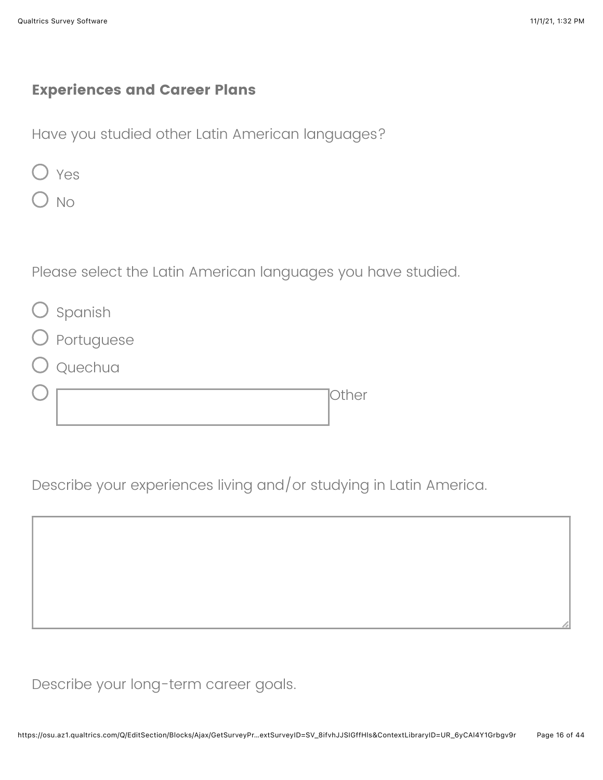## **Experiences and Career Plans**

Have you studied other Latin American languages?

|--|--|

) No

Please select the Latin American languages you have studied.

| Spanish |  |
|---------|--|
|         |  |

- Portuguese
- Quechua

Other

Describe your experiences living and/or studying in Latin America.



Describe your long-term career goals.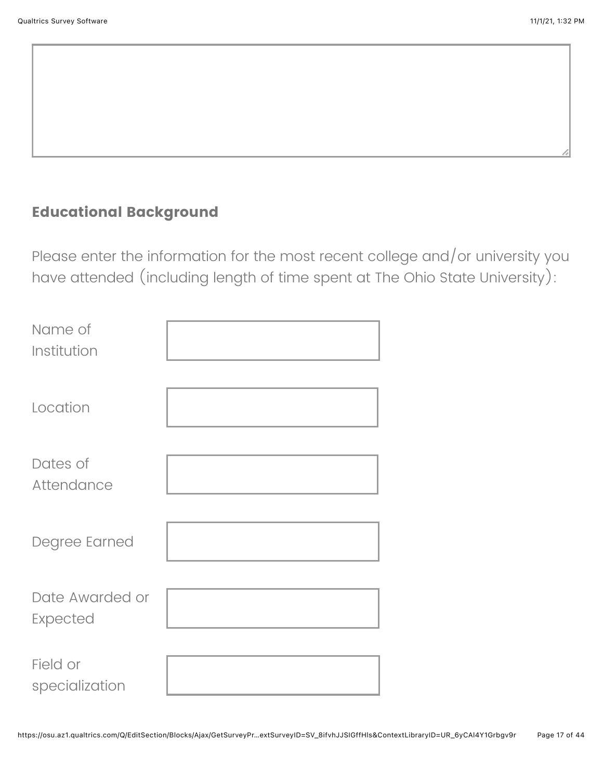## **Educational Background**

Please enter the information for the most recent college and/or university you have attended (including length of time spent at The Ohio State University):

| Name of<br>Institution      |  |
|-----------------------------|--|
| Location                    |  |
| Dates of<br>Attendance      |  |
| Degree Earned               |  |
| Date Awarded or<br>Expected |  |
| Field or<br>specialization  |  |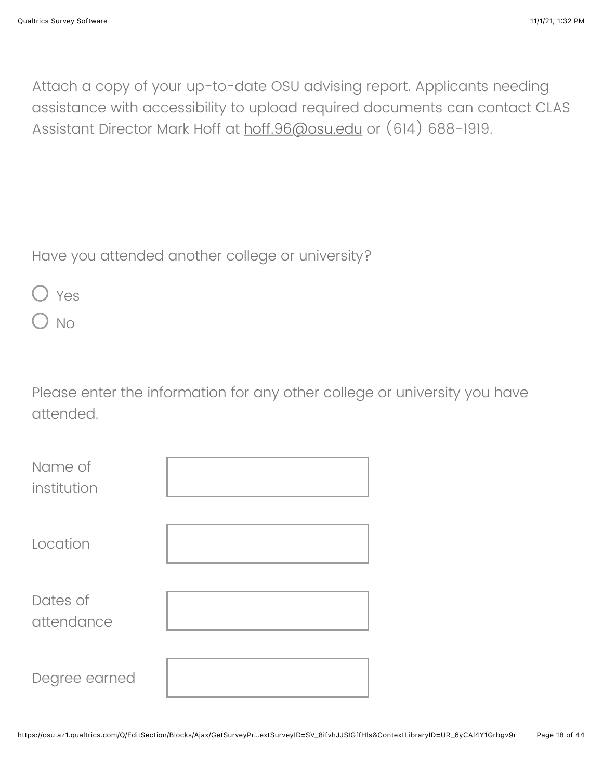Attach a copy of your up-to-date OSU advising report. Applicants needing assistance with accessibility to upload required documents can contact CLAS Assistant Director Mark Hoff at [hoff.96@osu.edu](mailto:clas@osu.edu) or (614) 688-1919.

Have you attended another college or university?

|--|--|

No

Please enter the information for any other college or university you have attended.

| Name of<br>institution |  |
|------------------------|--|
| Location               |  |
| Dates of<br>attendance |  |
| Degree earned          |  |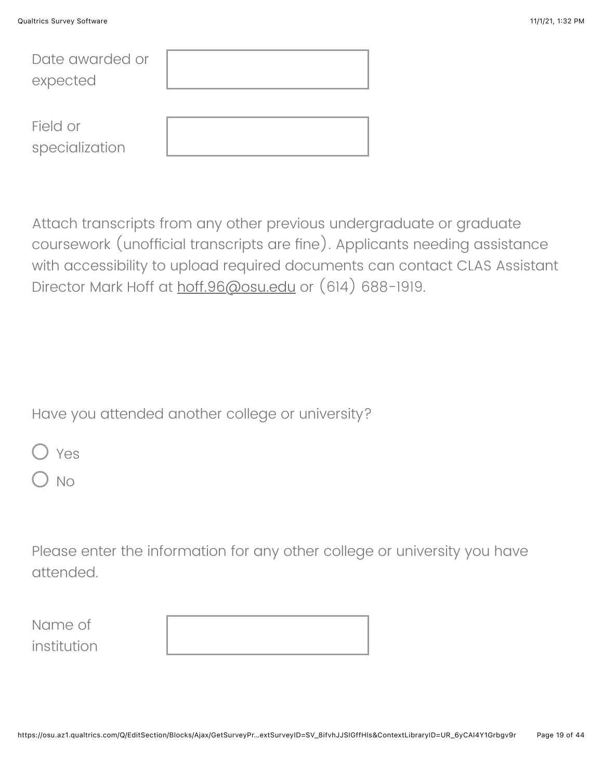| Date awarded or |  |
|-----------------|--|
| expected        |  |
|                 |  |
| Field or        |  |
| specialization  |  |

Attach transcripts from any other previous undergraduate or graduate coursework (unofficial transcripts are fine). Applicants needing assistance with accessibility to upload required documents can contact CLAS Assistant Director Mark Hoff at [hoff.96@osu.edu](mailto:clas@osu.edu) or (614) 688-1919.

Have you attended another college or university?

|--|--|

 $\overline{\phantom{a}}$  No

Please enter the information for any other college or university you have attended.

Name of institution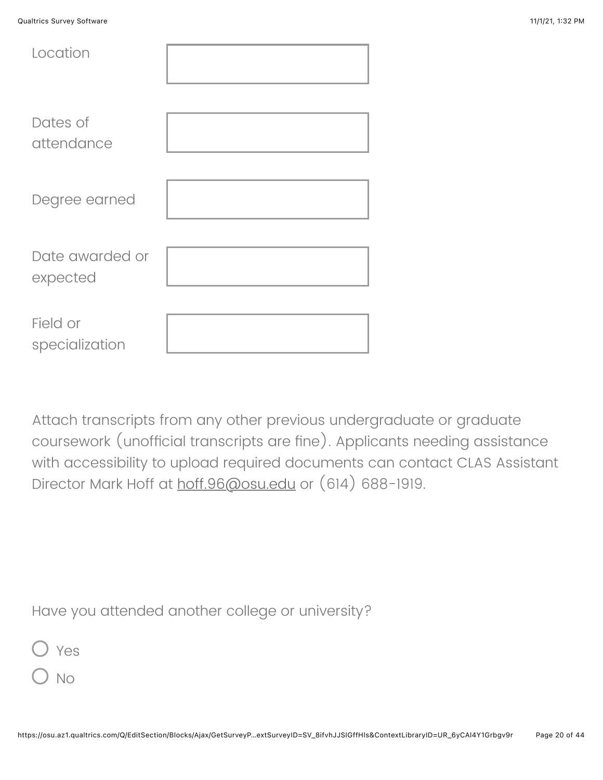| Location                    |  |
|-----------------------------|--|
| Dates of<br>attendance      |  |
| Degree earned               |  |
| Date awarded or<br>expected |  |
| Field or<br>specialization  |  |

Attach transcripts from any other previous undergraduate or graduate coursework (unofficial transcripts are fine). Applicants needing assistance with accessibility to upload required documents can contact CLAS Assistant Director Mark Hoff at [hoff.96@osu.edu](mailto:clas@osu.edu) or (614) 688-1919.

Have you attended another college or university?



) No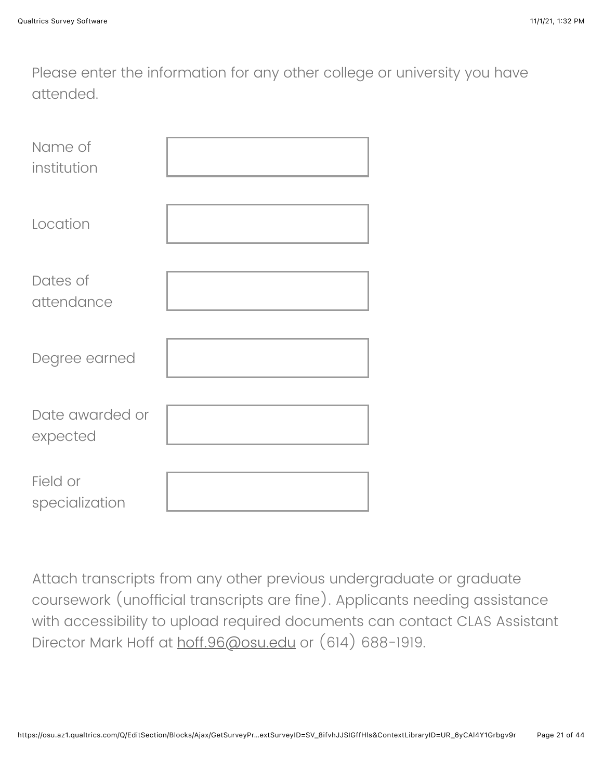Please enter the information for any other college or university you have attended.

| Name of<br>institution      |  |
|-----------------------------|--|
| Location                    |  |
| Dates of<br>attendance      |  |
| Degree earned               |  |
| Date awarded or<br>expected |  |
| Field or<br>specialization  |  |

Attach transcripts from any other previous undergraduate or graduate coursework (unofficial transcripts are fine). Applicants needing assistance with accessibility to upload required documents can contact CLAS Assistant Director Mark Hoff at [hoff.96@osu.edu](mailto:clas@osu.edu) or (614) 688-1919.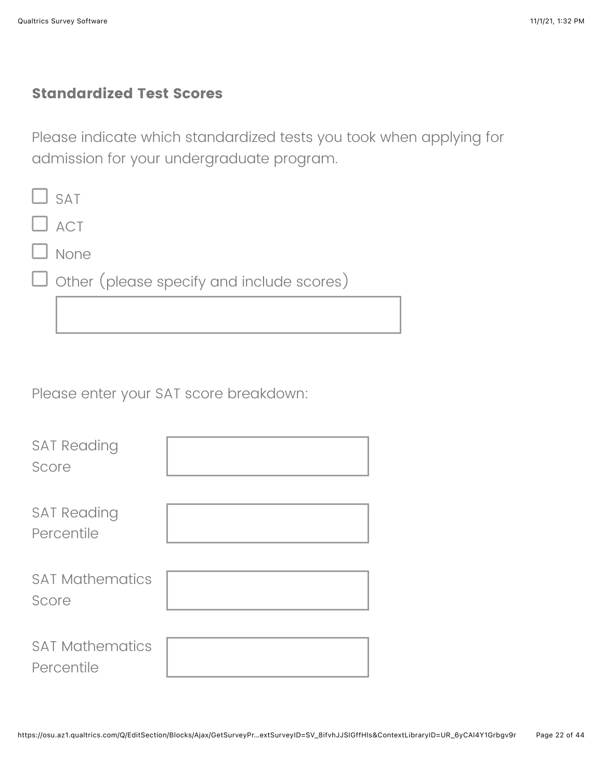### **Standardized Test Scores**

Please indicate which standardized tests you took when applying for admission for your undergraduate program.

| $\Box$ SAT                                       |
|--------------------------------------------------|
| $\Box$ ACT                                       |
| $\Box$ None                                      |
| $\Box$ Other (please specify and include scores) |
|                                                  |

Please enter your SAT score breakdown:

| <b>SAT Reading</b><br>Score          |  |
|--------------------------------------|--|
| <b>SAT Reading</b><br>Percentile     |  |
| <b>SAT Mathematics</b><br>Score      |  |
| <b>SAT Mathematics</b><br>Percentile |  |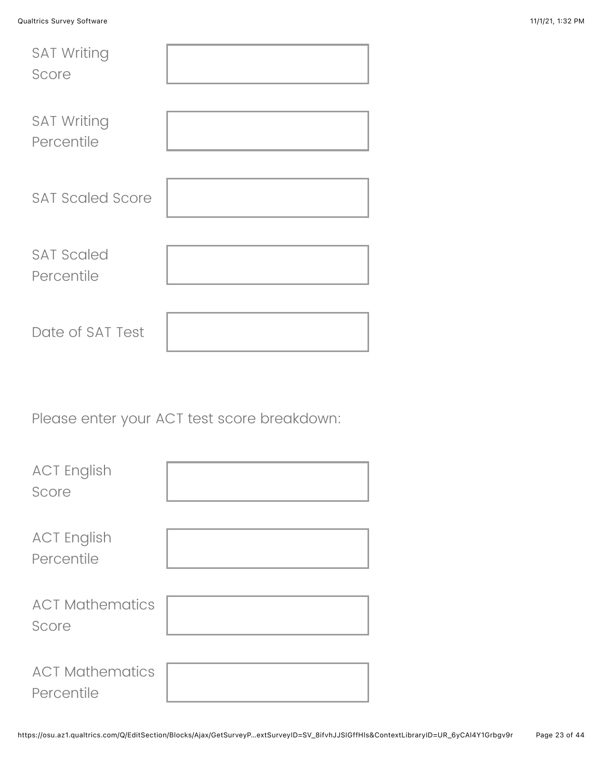| <b>Qualtrics Survey Software</b> |  |  | 11/1/21, 1:32 PM |
|----------------------------------|--|--|------------------|
| <b>SAT Writing</b>               |  |  |                  |
| Score                            |  |  |                  |

| Score                            |  |
|----------------------------------|--|
| <b>SAT Writing</b><br>Percentile |  |
| <b>SAT Scaled Score</b>          |  |
| <b>SAT Scaled</b><br>Percentile  |  |
| Date of SAT Test                 |  |

Please enter your ACT test score breakdown:

| <b>ACT English</b><br>Score          |  |
|--------------------------------------|--|
| <b>ACT English</b><br>Percentile     |  |
| <b>ACT Mathematics</b><br>Score      |  |
| <b>ACT Mathematics</b><br>Percentile |  |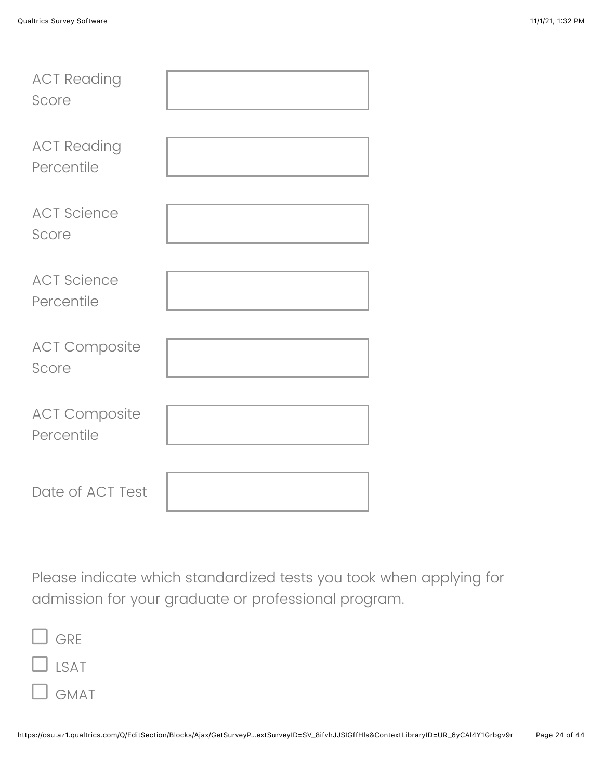| <b>ACT Reading</b><br>Score        |  |
|------------------------------------|--|
| <b>ACT Reading</b><br>Percentile   |  |
| <b>ACT Science</b><br>Score        |  |
| <b>ACT Science</b><br>Percentile   |  |
| <b>ACT Composite</b><br>Score      |  |
| <b>ACT Composite</b><br>Percentile |  |
| Date of ACT Test                   |  |

Please indicate which standardized tests you took when applying for admission for your graduate or professional program.

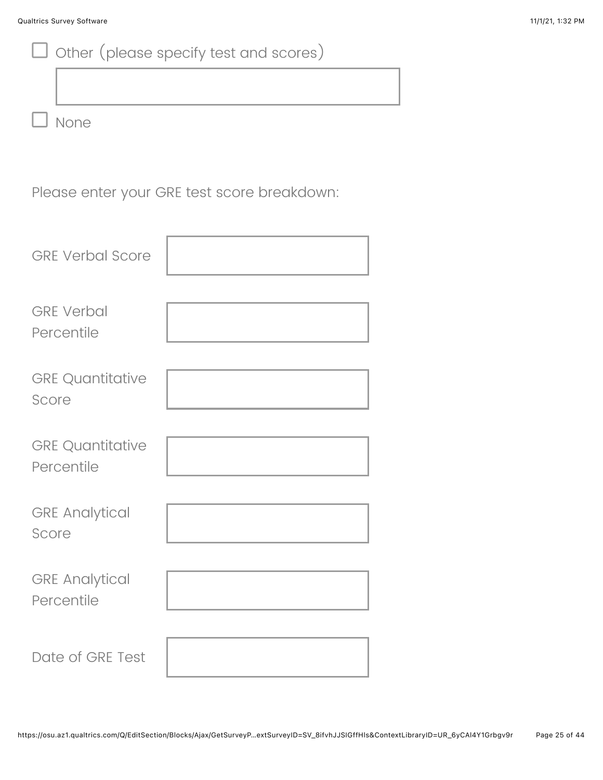|                                       | Other (please specify test and scores)      |
|---------------------------------------|---------------------------------------------|
|                                       |                                             |
| None                                  |                                             |
|                                       | Please enter your GRE test score breakdown: |
| <b>GRE Verbal Score</b>               |                                             |
| <b>GRE Verbal</b><br>Percentile       |                                             |
| <b>GRE Quantitative</b><br>Score      |                                             |
| <b>GRE Quantitative</b><br>Percentile |                                             |
| <b>GRE Analytical</b><br>Score        |                                             |
| <b>GRE Analytical</b><br>Percentile   |                                             |
| Date of GRE Test                      |                                             |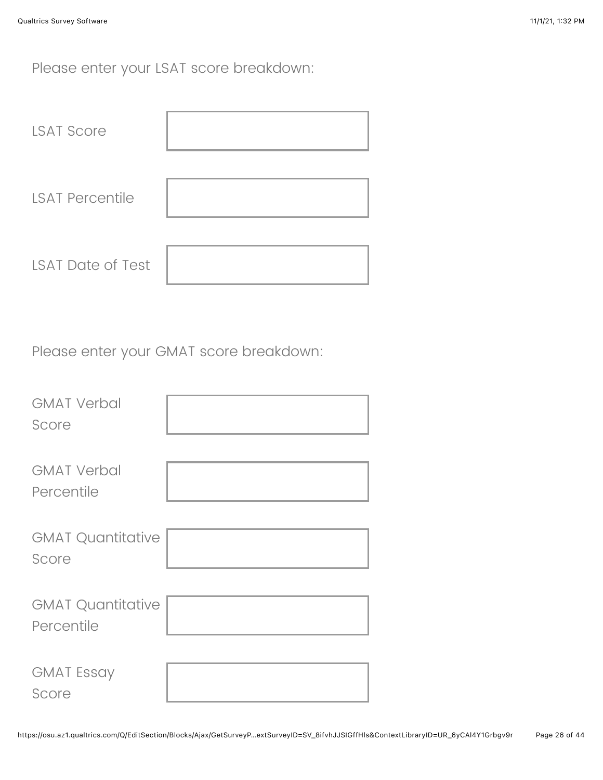Please enter your LSAT score breakdown:

| <b>LSAT Score</b>        |  |
|--------------------------|--|
| <b>LSAT Percentile</b>   |  |
| <b>LSAT Date of Test</b> |  |

Please enter your GMAT score breakdown:

| <b>GMAT Verbal</b><br>Score            |  |
|----------------------------------------|--|
| <b>GMAT Verbal</b><br>Percentile       |  |
| <b>GMAT Quantitative</b><br>Score      |  |
| <b>GMAT Quantitative</b><br>Percentile |  |
| <b>GMAT Essay</b><br>Score             |  |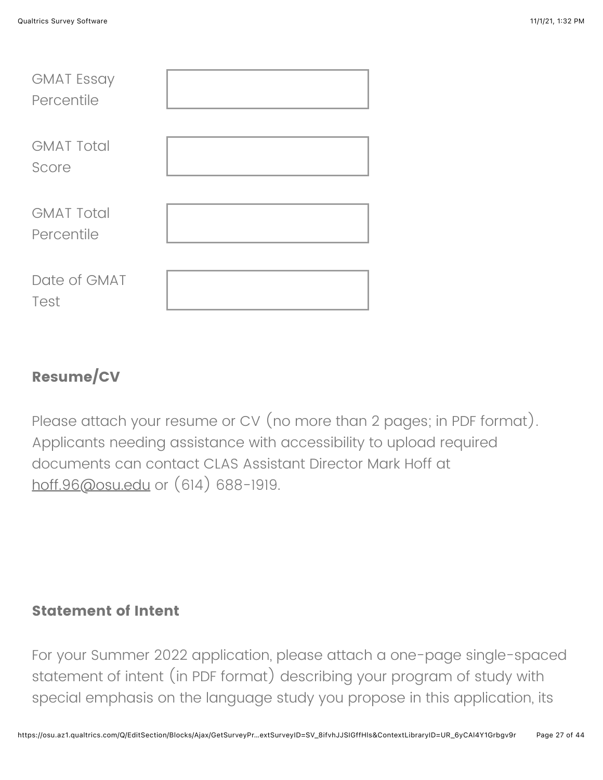| <b>GMAT Essay</b><br>Percentile |  |
|---------------------------------|--|
| <b>GMAT Total</b><br>Score      |  |
| <b>GMAT Total</b><br>Percentile |  |
| Date of GMAT<br>Test            |  |

## **Resume/CV**

Please attach your resume or CV (no more than 2 pages; in PDF format). Applicants needing assistance with accessibility to upload required documents can contact CLAS Assistant Director Mark Hoff at [hoff.96@osu.edu](mailto:clas@osu.edu) or (614) 688-1919.

#### **Statement of Intent**

For your Summer 2022 application, please attach a one-page single-spaced statement of intent (in PDF format) describing your program of study with special emphasis on the language study you propose in this application, its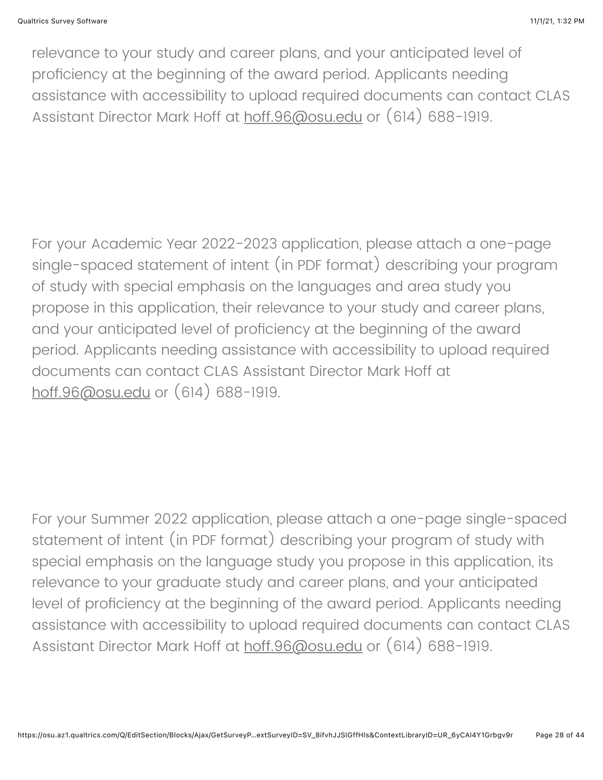relevance to your study and career plans, and your anticipated level of proficiency at the beginning of the award period. Applicants needing assistance with accessibility to upload required documents can contact CLAS Assistant Director Mark Hoff at [hoff.96@osu.edu](mailto:clas@osu.edu) or (614) 688-1919.

For your Academic Year 2022-2023 application, please attach a one-page single-spaced statement of intent (in PDF format) describing your program of study with special emphasis on the languages and area study you propose in this application, their relevance to your study and career plans, and your anticipated level of proficiency at the beginning of the award period. Applicants needing assistance with accessibility to upload required documents can contact CLAS Assistant Director Mark Hoff at [hoff.96@osu.edu](mailto:clas@osu.edu) or (614) 688-1919.

For your Summer 2022 application, please attach a one-page single-spaced statement of intent (in PDF format) describing your program of study with special emphasis on the language study you propose in this application, its relevance to your graduate study and career plans, and your anticipated level of proficiency at the beginning of the award period. Applicants needing assistance with accessibility to upload required documents can contact CLAS Assistant Director Mark Hoff at [hoff.96@osu.edu](mailto:clas@osu.edu) or (614) 688-1919.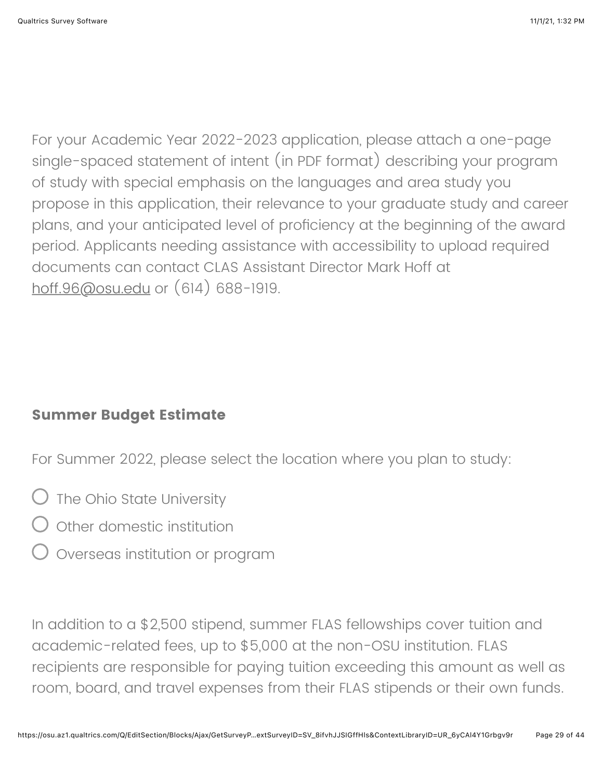For your Academic Year 2022-2023 application, please attach a one-page single-spaced statement of intent (in PDF format) describing your program of study with special emphasis on the languages and area study you propose in this application, their relevance to your graduate study and career plans, and your anticipated level of proficiency at the beginning of the award period. Applicants needing assistance with accessibility to upload required documents can contact CLAS Assistant Director Mark Hoff at [hoff.96@osu.edu](mailto:clas@osu.edu) or (614) 688-1919.

#### **Summer Budget Estimate**

For Summer 2022, please select the location where you plan to study:

- $\bigcirc$  The Ohio State University
- $\bigcirc$  other domestic institution
- Overseas institution or program

In addition to a \$2,500 stipend, summer FLAS fellowships cover tuition and academic-related fees, up to \$5,000 at the non-OSU institution. FLAS recipients are responsible for paying tuition exceeding this amount as well as room, board, and travel expenses from their FLAS stipends or their own funds.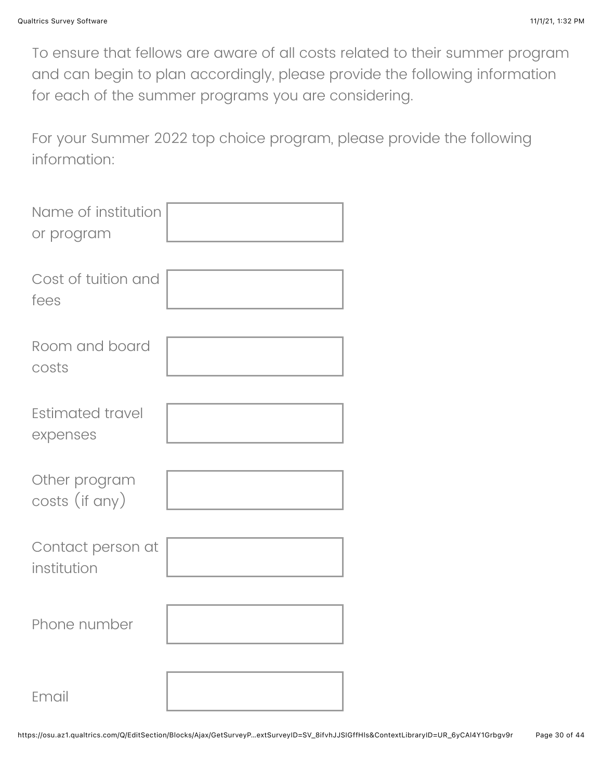To ensure that fellows are aware of all costs related to their summer program and can begin to plan accordingly, please provide the following information for each of the summer programs you are considering.

For your Summer 2022 top choice program, please provide the following information:

| Name of institution<br>or program |  |
|-----------------------------------|--|
| Cost of tuition and<br>fees       |  |
| Room and board<br>costs           |  |
| Estimated travel<br>expenses      |  |
| Other program<br>costs (if any)   |  |
| Contact person at<br>institution  |  |
| Phone number                      |  |
| Email                             |  |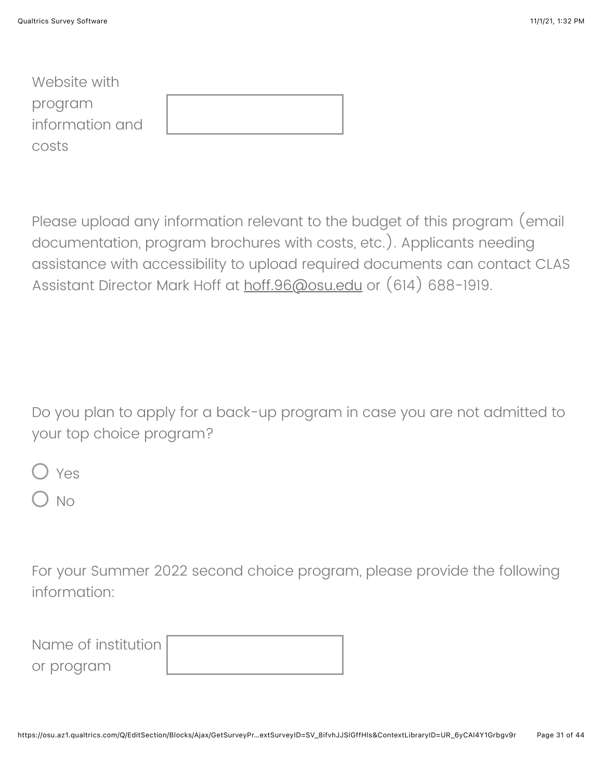| Website with    |  |
|-----------------|--|
| program         |  |
| information and |  |
| costs           |  |

Please upload any information relevant to the budget of this program (email documentation, program brochures with costs, etc.). Applicants needing assistance with accessibility to upload required documents can contact CLAS Assistant Director Mark Hoff at [hoff.96@osu.edu](mailto:clas@osu.edu) or (614) 688-1919.

Do you plan to apply for a back-up program in case you are not admitted to your top choice program?

Yes

No

For your Summer 2022 second choice program, please provide the following information:

| Name of institution I |  |
|-----------------------|--|
| or program            |  |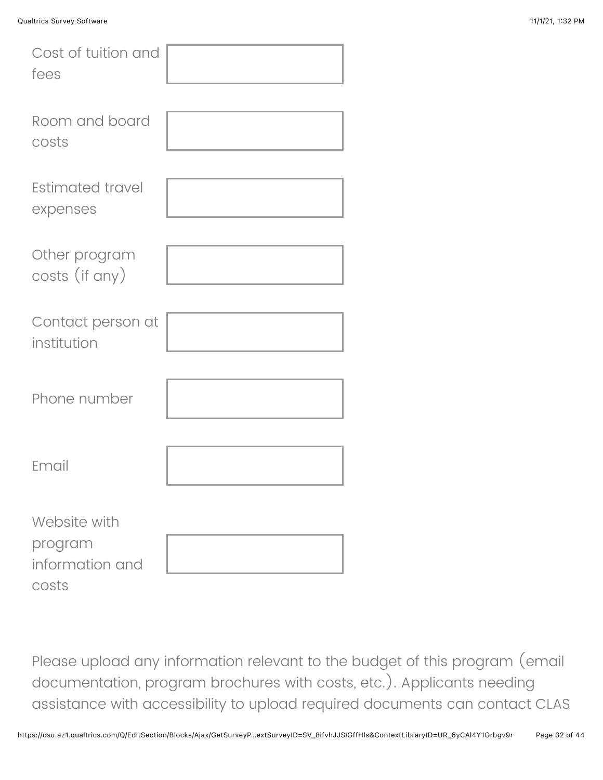| Cost of tuition and<br>fees                         |  |
|-----------------------------------------------------|--|
| Room and board<br>costs                             |  |
| <b>Estimated travel</b><br>expenses                 |  |
| Other program<br>costs (if any)                     |  |
| Contact person at<br>institution                    |  |
| Phone number                                        |  |
| Email                                               |  |
| Website with<br>program<br>information and<br>costs |  |

Please upload any information relevant to the budget of this program (email documentation, program brochures with costs, etc.). Applicants needing assistance with accessibility to upload required documents can contact CLAS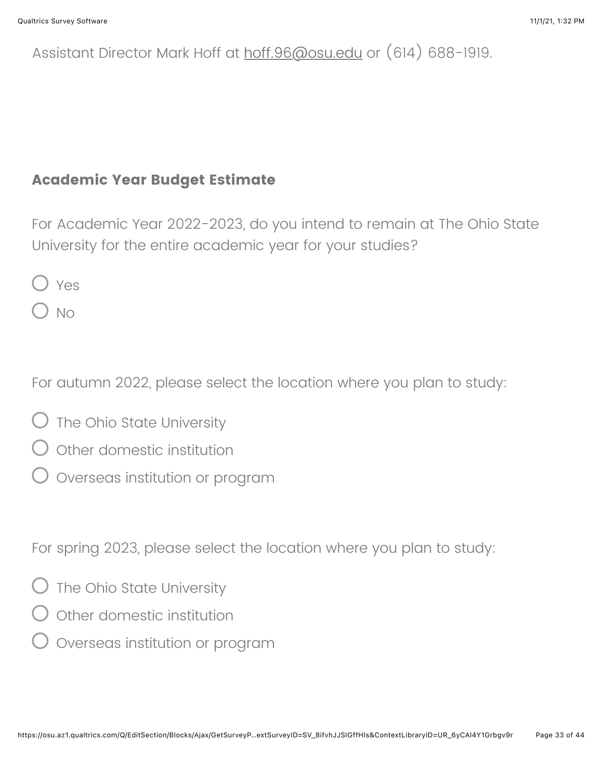## Assistant Director Mark Hoff at [hoff.96@osu.edu](mailto:clas@osu.edu) or (614) 688-1919.

### **Academic Year Budget Estimate**

For Academic Year 2022-2023, do you intend to remain at The Ohio State University for the entire academic year for your studies?

Yes

) No

For autumn 2022, please select the location where you plan to study:

- $\bigcirc$  The Ohio State University
- $\bigcirc$  other domestic institution
- Overseas institution or program

For spring 2023, please select the location where you plan to study:

- $\bigcirc$  The Ohio State University
- $\bigcirc$  other domestic institution
- $\overline{\phantom{a}}$  Overseas institution or program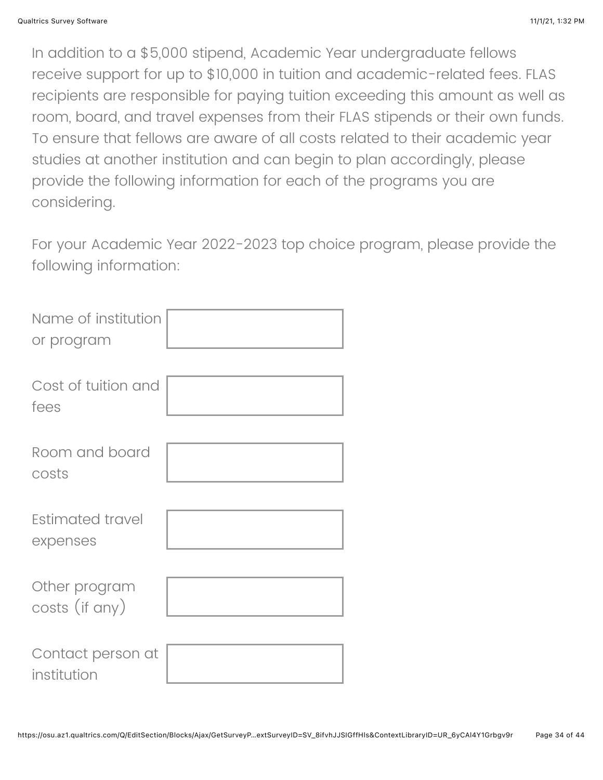In addition to a \$5,000 stipend, Academic Year undergraduate fellows receive support for up to \$10,000 in tuition and academic-related fees. FLAS recipients are responsible for paying tuition exceeding this amount as well as room, board, and travel expenses from their FLAS stipends or their own funds. To ensure that fellows are aware of all costs related to their academic year studies at another institution and can begin to plan accordingly, please provide the following information for each of the programs you are considering.

For your Academic Year 2022-2023 top choice program, please provide the following information:

| Name of institution<br>or program |  |
|-----------------------------------|--|
| Cost of tuition and<br>fees       |  |
| Room and board<br>costs           |  |
| Estimated travel<br>expenses      |  |
| Other program<br>costs (if any)   |  |
| Contact person at<br>institution  |  |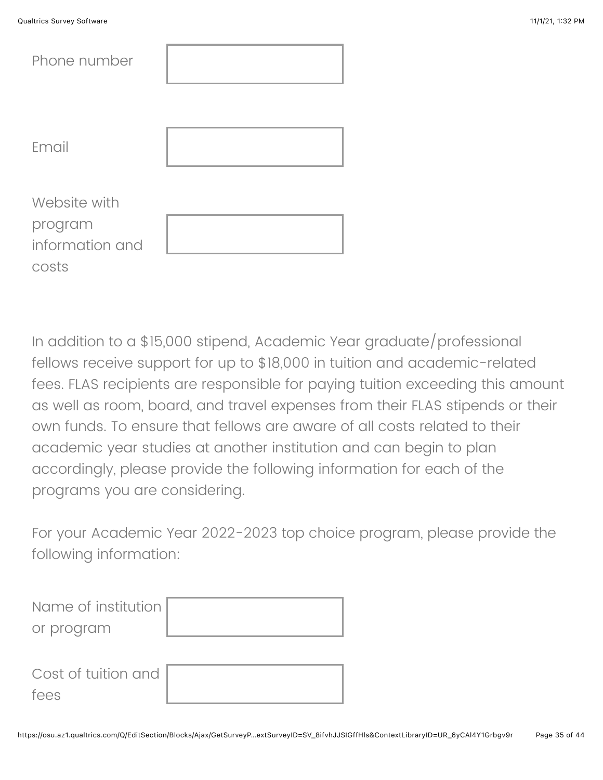| Phone number    |  |
|-----------------|--|
| Email           |  |
| Website with    |  |
| program         |  |
| information and |  |
| costs           |  |

In addition to a \$15,000 stipend, Academic Year graduate/professional fellows receive support for up to \$18,000 in tuition and academic-related fees. FLAS recipients are responsible for paying tuition exceeding this amount as well as room, board, and travel expenses from their FLAS stipends or their own funds. To ensure that fellows are aware of all costs related to their academic year studies at another institution and can begin to plan accordingly, please provide the following information for each of the programs you are considering.

For your Academic Year 2022-2023 top choice program, please provide the following information:

| Name of institution         |  |
|-----------------------------|--|
| or program                  |  |
| Cost of tuition and<br>fees |  |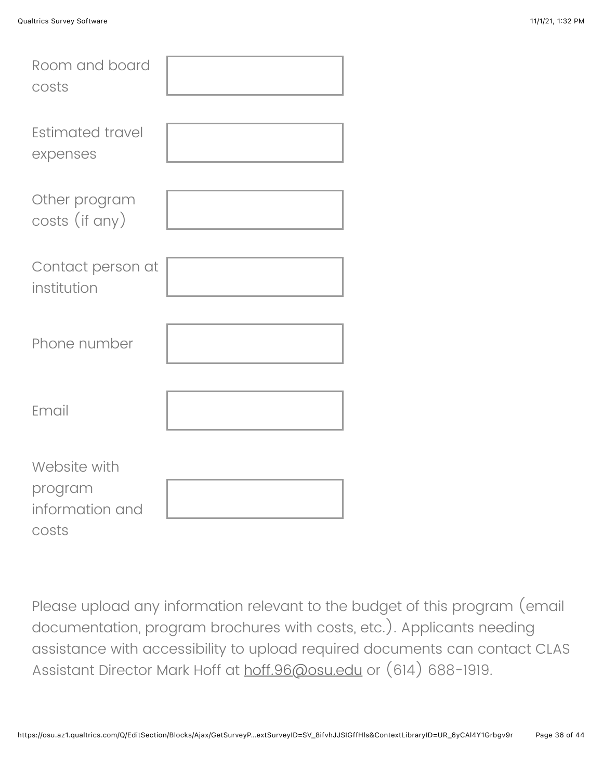| Room and board<br>costs                             |  |
|-----------------------------------------------------|--|
| Estimated travel<br>expenses                        |  |
| Other program<br>costs (if any)                     |  |
| Contact person at<br>institution                    |  |
| Phone number                                        |  |
| Email                                               |  |
| Website with<br>program<br>information and<br>costs |  |

Please upload any information relevant to the budget of this program (email documentation, program brochures with costs, etc.). Applicants needing assistance with accessibility to upload required documents can contact CLAS Assistant Director Mark Hoff at [hoff.96@osu.edu](mailto:clas@osu.edu) or (614) 688-1919.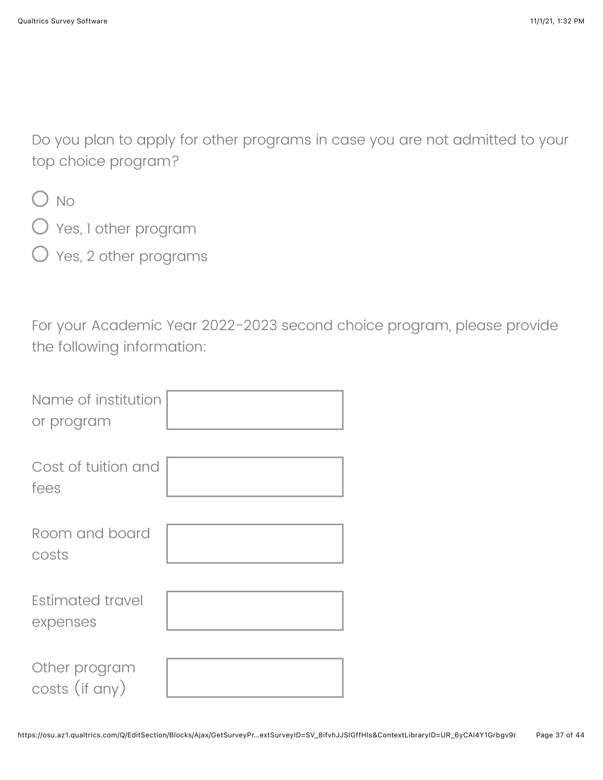Do you plan to apply for other programs in case you are not admitted to your top choice program?

 $O$  No

- Yes, 1 other program
- $\bigcirc$  Yes, 2 other programs

For your Academic Year 2022-2023 second choice program, please provide the following information:

| Name of institution<br>or program |  |
|-----------------------------------|--|
| Cost of tuition and<br>fees       |  |
| Room and board<br>costs           |  |
| Estimated travel<br>expenses      |  |
| Other program<br>costs (if any)   |  |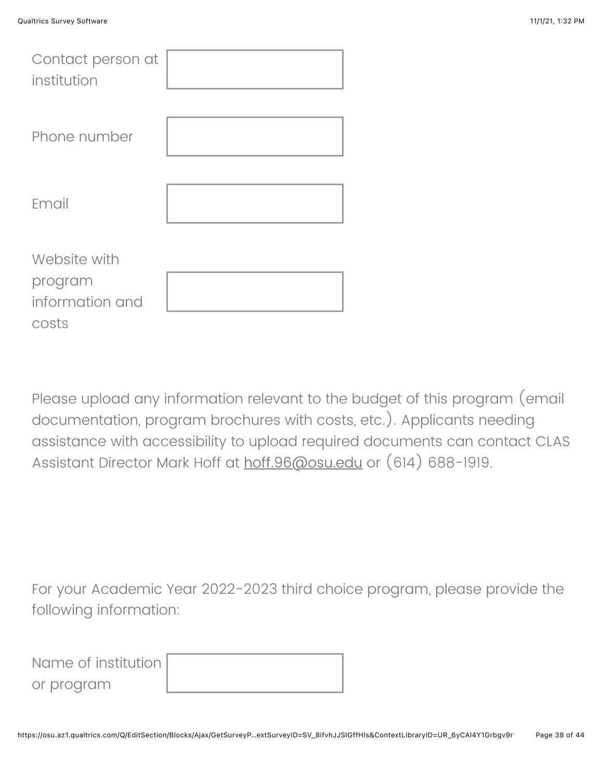| Contact person at<br>institution                    |  |
|-----------------------------------------------------|--|
| Phone number                                        |  |
| Email                                               |  |
| Website with<br>program<br>information and<br>costs |  |

Please upload any information relevant to the budget of this program (email documentation, program brochures with costs, etc.). Applicants needing assistance with accessibility to upload required documents can contact CLAS Assistant Director Mark Hoff at [hoff.96@osu.edu](mailto:clas@osu.edu) or (614) 688-1919.

For your Academic Year 2022-2023 third choice program, please provide the following information:

Name of institution or program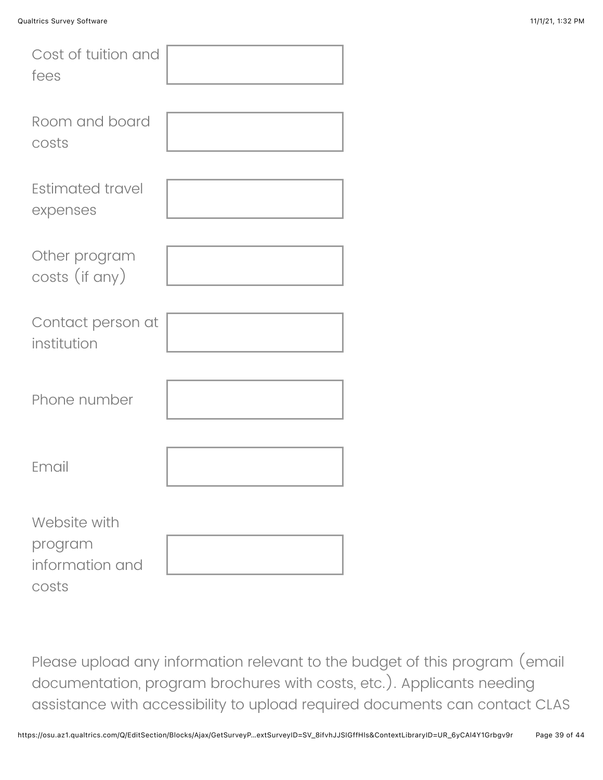| Cost of tuition and<br>fees                         |  |
|-----------------------------------------------------|--|
| Room and board<br>costs                             |  |
| <b>Estimated travel</b><br>expenses                 |  |
| Other program<br>costs (if any)                     |  |
| Contact person at<br>institution                    |  |
| Phone number                                        |  |
| Email                                               |  |
| Website with<br>program<br>information and<br>costs |  |

Please upload any information relevant to the budget of this program (email documentation, program brochures with costs, etc.). Applicants needing assistance with accessibility to upload required documents can contact CLAS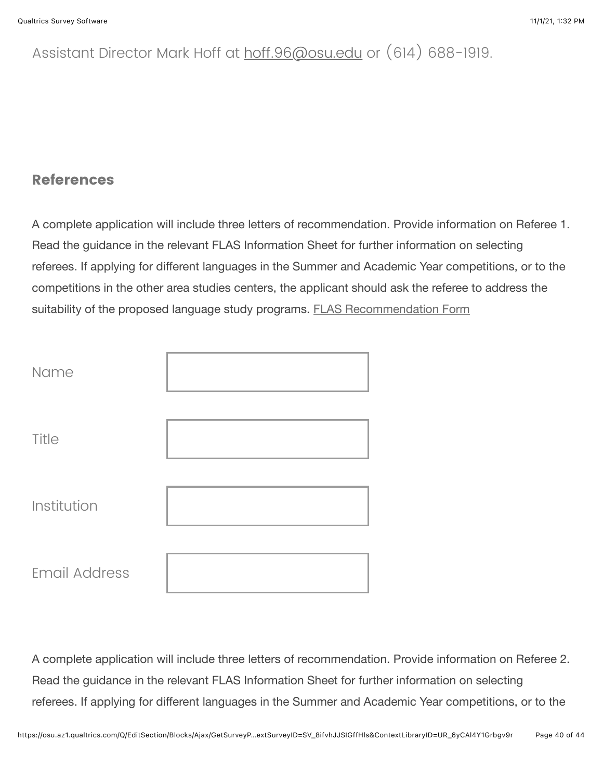# Assistant Director Mark Hoff at [hoff.96@osu.edu](mailto:clas@osu.edu) or (614) 688-1919.

#### **References**

A complete application will include three letters of recommendation. Provide information on Referee 1. Read the guidance in the relevant FLAS Information Sheet for further information on selecting referees. If applying for different languages in the Summer and Academic Year competitions, or to the competitions in the other area studies centers, the applicant should ask the referee to address the suitability of the proposed language study programs. [FLAS Recommendation Form](https://clas.osu.edu/sites/default/files/2021-09/2022-23%20CLAS%20FLAS%20Recommendation%20Form.pdf)

| Name                 |  |
|----------------------|--|
| Title                |  |
| Institution          |  |
| <b>Email Address</b> |  |

A complete application will include three letters of recommendation. Provide information on Referee 2. Read the guidance in the relevant FLAS Information Sheet for further information on selecting referees. If applying for different languages in the Summer and Academic Year competitions, or to the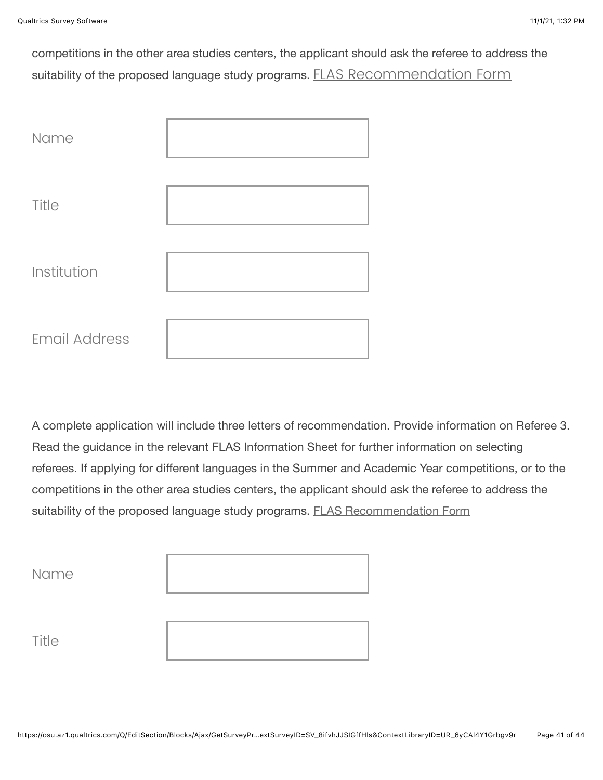competitions in the other area studies centers, the applicant should ask the referee to address the suitability of the proposed language study programs. [FLAS Recommendation Form](https://clas.osu.edu/sites/default/files/2021-09/2022-23%20CLAS%20FLAS%20Recommendation%20Form.pdf)

| Name                 |  |
|----------------------|--|
| Title                |  |
| Institution          |  |
| <b>Email Address</b> |  |

A complete application will include three letters of recommendation. Provide information on Referee 3. Read the guidance in the relevant FLAS Information Sheet for further information on selecting referees. If applying for different languages in the Summer and Academic Year competitions, or to the competitions in the other area studies centers, the applicant should ask the referee to address the suitability of the proposed language study programs. [FLAS Recommendation Form](https://clas.osu.edu/sites/default/files/2021-09/2022-23%20CLAS%20FLAS%20Recommendation%20Form.pdf)

| Name  |  |
|-------|--|
| Title |  |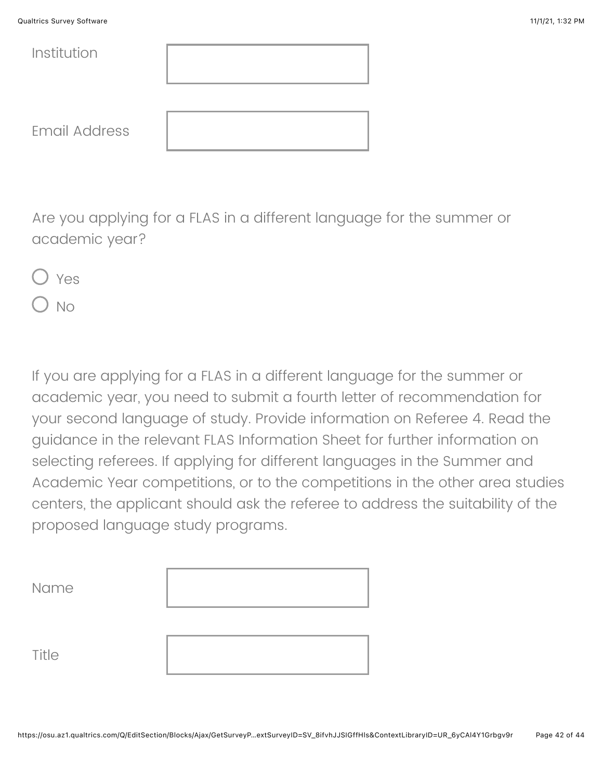| <b>Qualtrics Survey Software</b> | 11/1/21, 1:32 PM |
|----------------------------------|------------------|
|----------------------------------|------------------|

| Institution          |  |
|----------------------|--|
|                      |  |
| <b>Email Address</b> |  |

Are you applying for a FLAS in a different language for the summer or academic year?

Yes No

If you are applying for a FLAS in a different language for the summer or academic year, you need to submit a fourth letter of recommendation for your second language of study. Provide information on Referee 4. Read the guidance in the relevant FLAS Information Sheet for further information on selecting referees. If applying for different languages in the Summer and Academic Year competitions, or to the competitions in the other area studies centers, the applicant should ask the referee to address the suitability of the proposed language study programs.

| Name  |  |
|-------|--|
| Title |  |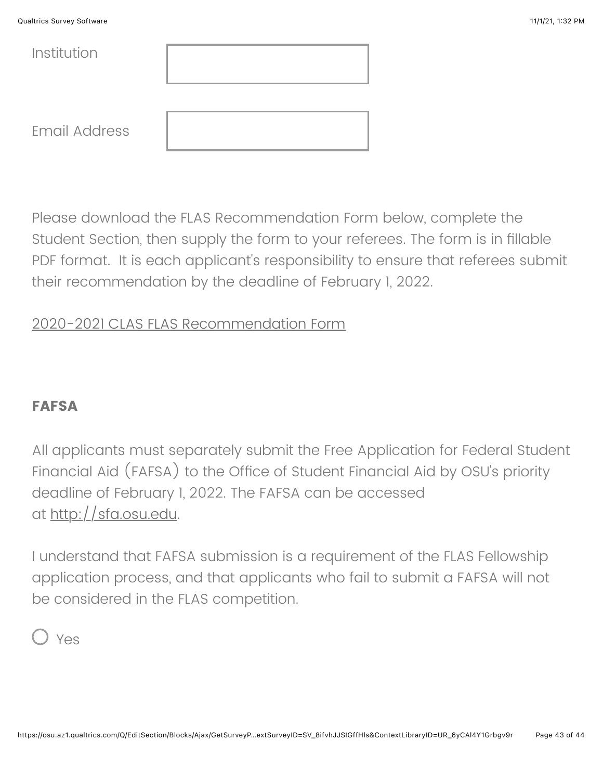| <b>Qualtrics Survey Software</b> | 11/1/21, 1:32 PM |
|----------------------------------|------------------|
|                                  |                  |

| Institution          |  |
|----------------------|--|
|                      |  |
| <b>Email Address</b> |  |

Please download the FLAS Recommendation Form below, complete the Student Section, then supply the form to your referees. The form is in fillable PDF format. It is each applicant's responsibility to ensure that referees submit their recommendation by the deadline of February 1, 2022.

## [2020-2021 CLAS FLAS Recommendation Form](https://clas.osu.edu/sites/default/files/2021-09/2022-23%20CLAS%20FLAS%20Recommendation%20Form.pdf)

### **FAFSA**

All applicants must separately submit the Free Application for Federal Student Financial Aid (FAFSA) to the Office of Student Financial Aid by OSU's priority deadline of February 1, 2022. The FAFSA can be accessed at <u>http://sfa.osu.edu</u>.

I understand that FAFSA submission is a requirement of the FLAS Fellowship application process, and that applicants who fail to submit a FAFSA will not be considered in the FLAS competition.